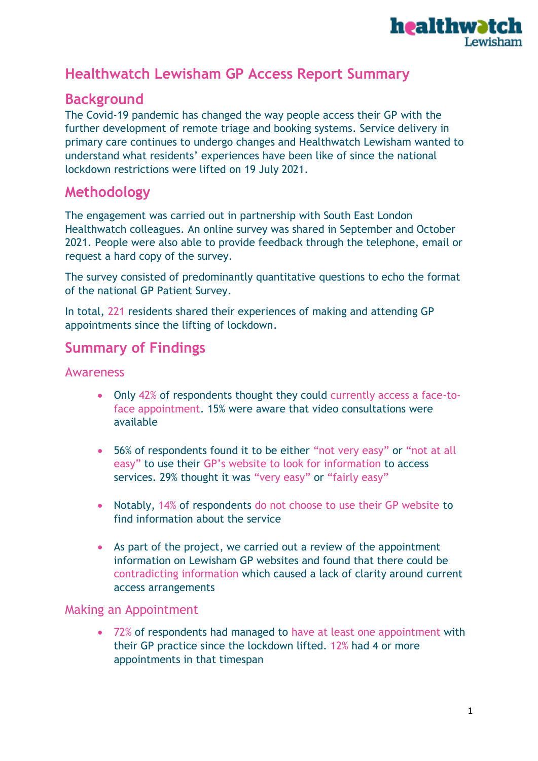

# **Healthwatch Lewisham GP Access Report Summary**

### **Background**

The Covid-19 pandemic has changed the way people access their GP with the further development of remote triage and booking systems. Service delivery in primary care continues to undergo changes and Healthwatch Lewisham wanted to understand what residents' experiences have been like of since the national lockdown restrictions were lifted on 19 July 2021.

### **Methodology**

The engagement was carried out in partnership with South East London Healthwatch colleagues. An online survey was shared in September and October 2021. People were also able to provide feedback through the telephone, email or request a hard copy of the survey.

The survey consisted of predominantly quantitative questions to echo the format of the national GP Patient Survey.

In total, 221 residents shared their experiences of making and attending GP appointments since the lifting of lockdown.

## **Summary of Findings**

#### **Awareness**

- Only 42% of respondents thought they could currently access a face-toface appointment. 15% were aware that video consultations were available
- 56% of respondents found it to be either "not very easy" or "not at all easy" to use their GP's website to look for information to access services. 29% thought it was "very easy" or "fairly easy"
- Notably, 14% of respondents do not choose to use their GP website to find information about the service
- As part of the project, we carried out a review of the appointment information on Lewisham GP websites and found that there could be contradicting information which caused a lack of clarity around current access arrangements

#### Making an Appointment

• 72% of respondents had managed to have at least one appointment with their GP practice since the lockdown lifted. 12% had 4 or more appointments in that timespan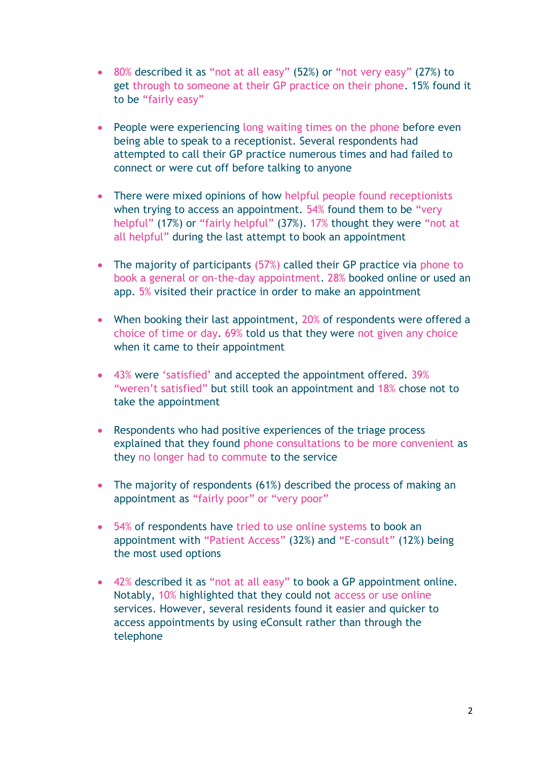- 80% described it as "not at all easy" (52%) or "not very easy" (27%) to get through to someone at their GP practice on their phone. 15% found it to be "fairly easy"
- People were experiencing long waiting times on the phone before even being able to speak to a receptionist. Several respondents had attempted to call their GP practice numerous times and had failed to connect or were cut off before talking to anyone
- There were mixed opinions of how helpful people found receptionists when trying to access an appointment. 54% found them to be "very helpful" (17%) or "fairly helpful" (37%). 17% thought they were "not at all helpful" during the last attempt to book an appointment
- The majority of participants (57%) called their GP practice via phone to book a general or on-the-day appointment. 28% booked online or used an app. 5% visited their practice in order to make an appointment
- When booking their last appointment, 20% of respondents were offered a choice of time or day. 69% told us that they were not given any choice when it came to their appointment
- 43% were 'satisfied' and accepted the appointment offered. 39% "weren't satisfied" but still took an appointment and 18% chose not to take the appointment
- Respondents who had positive experiences of the triage process explained that they found phone consultations to be more convenient as they no longer had to commute to the service
- The majority of respondents (61%) described the process of making an appointment as "fairly poor" or "very poor"
- 54% of respondents have tried to use online systems to book an appointment with "Patient Access" (32%) and "E-consult" (12%) being the most used options
- 42% described it as "not at all easy" to book a GP appointment online. Notably, 10% highlighted that they could not access or use online services. However, several residents found it easier and quicker to access appointments by using eConsult rather than through the telephone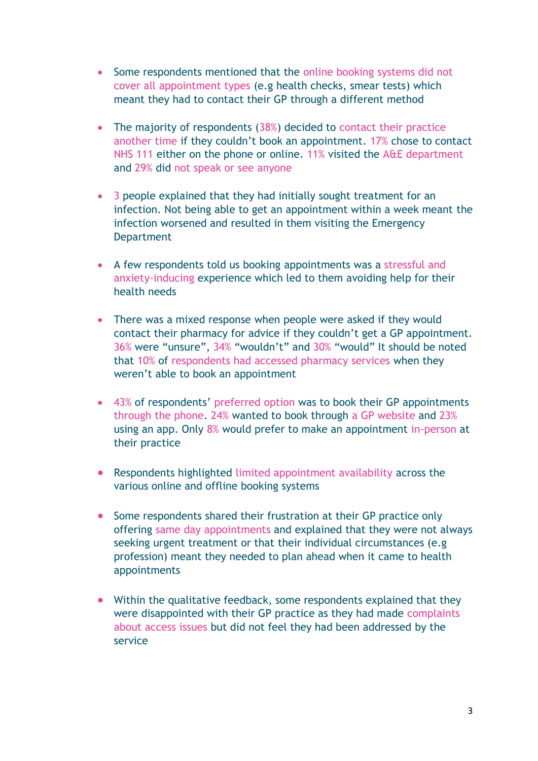- Some respondents mentioned that the online booking systems did not cover all appointment types (e.g health checks, smear tests) which meant they had to contact their GP through a different method
- The majority of respondents (38%) decided to contact their practice another time if they couldn't book an appointment. 17% chose to contact NHS 111 either on the phone or online. 11% visited the A&E department and 29% did not speak or see anyone
- 3 people explained that they had initially sought treatment for an infection. Not being able to get an appointment within a week meant the infection worsened and resulted in them visiting the Emergency **Department**
- A few respondents told us booking appointments was a stressful and anxiety-inducing experience which led to them avoiding help for their health needs
- There was a mixed response when people were asked if they would contact their pharmacy for advice if they couldn't get a GP appointment. 36% were "unsure", 34% "wouldn't" and 30% "would" It should be noted that 10% of respondents had accessed pharmacy services when they weren't able to book an appointment
- 43% of respondents' preferred option was to book their GP appointments through the phone. 24% wanted to book through a GP website and 23% using an app. Only 8% would prefer to make an appointment in-person at their practice
- Respondents highlighted limited appointment availability across the various online and offline booking systems
- Some respondents shared their frustration at their GP practice only offering same day appointments and explained that they were not always seeking urgent treatment or that their individual circumstances (e.g profession) meant they needed to plan ahead when it came to health appointments
- Within the qualitative feedback, some respondents explained that they were disappointed with their GP practice as they had made complaints about access issues but did not feel they had been addressed by the service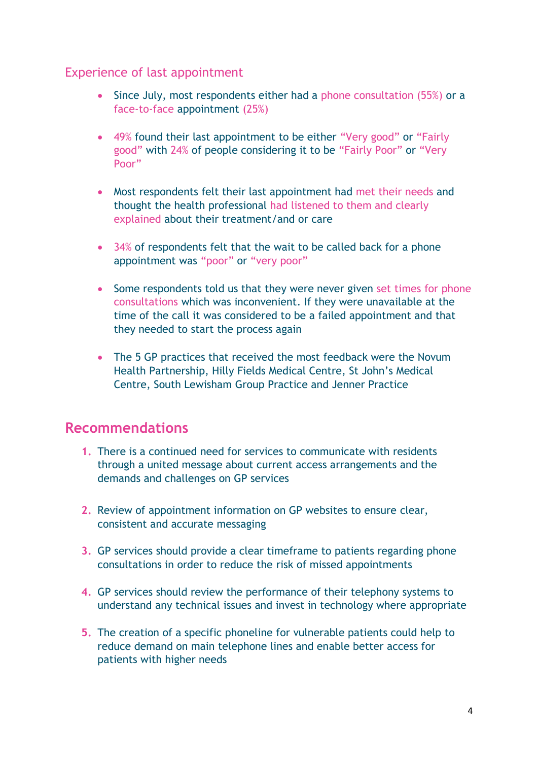### Experience of last appointment

- Since July, most respondents either had a phone consultation (55%) or a face-to-face appointment (25%)
- 49% found their last appointment to be either "Very good" or "Fairly good" with 24% of people considering it to be "Fairly Poor" or "Very Poor"
- Most respondents felt their last appointment had met their needs and thought the health professional had listened to them and clearly explained about their treatment/and or care
- 34% of respondents felt that the wait to be called back for a phone appointment was "poor" or "very poor"
- Some respondents told us that they were never given set times for phone consultations which was inconvenient. If they were unavailable at the time of the call it was considered to be a failed appointment and that they needed to start the process again
- The 5 GP practices that received the most feedback were the Novum Health Partnership, Hilly Fields Medical Centre, St John's Medical Centre, South Lewisham Group Practice and Jenner Practice

### **Recommendations**

- **1.** There is a continued need for services to communicate with residents through a united message about current access arrangements and the demands and challenges on GP services
- **2.** Review of appointment information on GP websites to ensure clear, consistent and accurate messaging
- **3.** GP services should provide a clear timeframe to patients regarding phone consultations in order to reduce the risk of missed appointments
- **4.** GP services should review the performance of their telephony systems to understand any technical issues and invest in technology where appropriate
- **5.** The creation of a specific phoneline for vulnerable patients could help to reduce demand on main telephone lines and enable better access for patients with higher needs